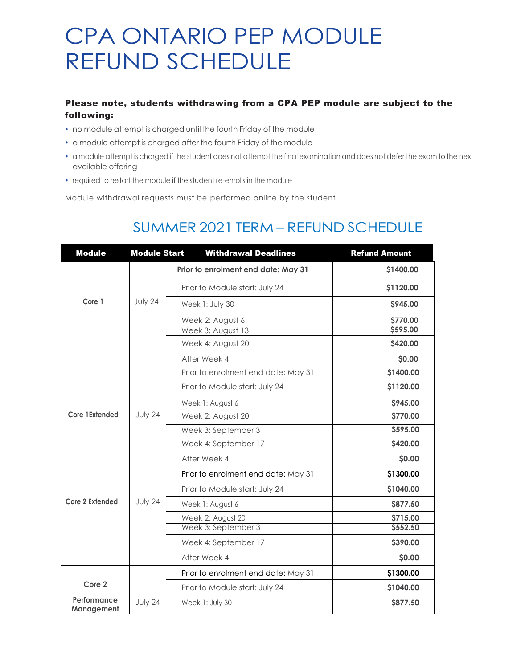# CPA ONTARIO PEP MODULE REFUND SCHEDULE

### Please note, students withdrawing from a CPA PEP module are subject to the following:

- no module attempt is charged until the fourth Friday of the module
- a module attempt is charged after the fourth Friday of the module
- a module attempt is charged if the student does not attempt the final examination and does not defer the exam to the next available offering
- required to restart the module if the student re-enrolls in the module

**Management**

Module withdrawal requests must be performed online by the student.

### Module Module Start Withdrawal Deadlines Refund Amount Prior to enrolment end date: May 31 **And S** \$1400.00 Prior to Module start: July 24 **\$1120.00 Core 1** July 24 Week 1: July 30 **\$945.00** Week 2: August 6 **\$770.00** Week 3: August 13 **\$595.00** Week 4: August 20 **\$420.00 After Week 4 \$0.00** Prior to enrolment end date: May 31 **\$1400.00** Prior to Module start: July 24 **\$1120.00** Week 1: August 6 **\$945.00 Core 1Extended** July 24 Week 2: August 20 **Week 3: September 3 b \$595.00 Week 4: September 17 \$420.00** After Week 4 **\$0.00** Prior to enrolment end date: May 31 **\$1300.00** Prior to Module start: July 24 **\$1040.00 Core 2 Extended** July 24 Week 1: August 6 **\$877.50 Week 2: August 20 b b b 5715.00 Week 3: September 3** \$552.50 **Week 4: September 17 \$390.00** After Week 4 **\$0.00** Prior to enrolment end date: May 31 **120 120 120 1300.00 Core 2 example 31040.00** Prior to Module start: July 24 **\$1040.00 Performance**  July 24 Week 1: July 30 **\$877.50**

## SUMMER 2021 TERM – REFUND SCHEDULE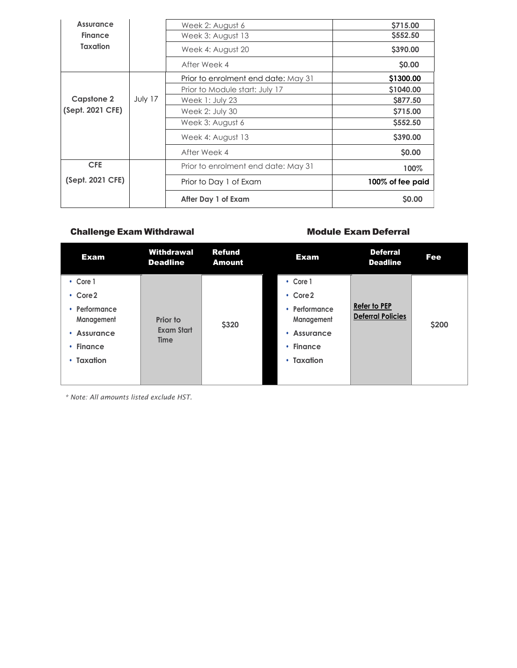| <b>Assurance</b>  |         | Week 2: August 6                    | \$715.00         |
|-------------------|---------|-------------------------------------|------------------|
| <b>Finance</b>    |         | Week 3: August 13                   | \$552.50         |
| Taxation          |         | Week 4: August 20                   | \$390.00         |
|                   |         | After Week 4                        | \$0.00           |
|                   |         | Prior to enrolment end date: May 31 | \$1300.00        |
|                   |         | Prior to Module start: July 17      | \$1040.00        |
| <b>Capstone 2</b> | July 17 | Week $1:$ July 23                   | \$877.50         |
| (Sept. 2021 CFE)  |         | Week 2: July 30                     | \$715.00         |
|                   |         | Week 3: August 6                    | \$552.50         |
|                   |         | Week 4: August 13                   | \$390.00         |
|                   |         | After Week 4                        | \$0.00           |
| <b>CFE</b>        |         | Prior to enrolment end date: May 31 | 100%             |
| (Sept. 2021 CFE)  |         | Prior to Day 1 of Exam              | 100% of fee paid |
|                   |         | After Day 1 of Exam                 | \$0.00           |

### Challenge Exam Withdrawal **Module Exam Deferral** Module Exam Deferral

| <b>Exam</b>                   | Withdrawal<br><b>Deadline</b>                | <b>Refund</b><br><b>Amount</b> | <b>Exam</b>                 | <b>Deferral</b><br><b>Deadline</b>              | <b>Fee</b> |
|-------------------------------|----------------------------------------------|--------------------------------|-----------------------------|-------------------------------------------------|------------|
| $\cdot$ Core 1                |                                              |                                | • Core 1                    |                                                 |            |
| $\cdot$ Core 2                |                                              |                                | $\cdot$ Core2               |                                                 |            |
| • Performance<br>Management   | Prior to<br><b>Exam Start</b><br><b>Time</b> | \$320                          | • Performance<br>Management | <b>Refer to PEP</b><br><b>Deferral Policies</b> | \$200      |
| <b>Assurance</b><br>$\bullet$ |                                              |                                | <b>Assurance</b><br>۰       |                                                 |            |
| • Finance                     |                                              |                                | • Finance                   |                                                 |            |
| $\cdot$ Taxation              |                                              |                                | $\cdot$ Taxation            |                                                 |            |
|                               |                                              |                                |                             |                                                 |            |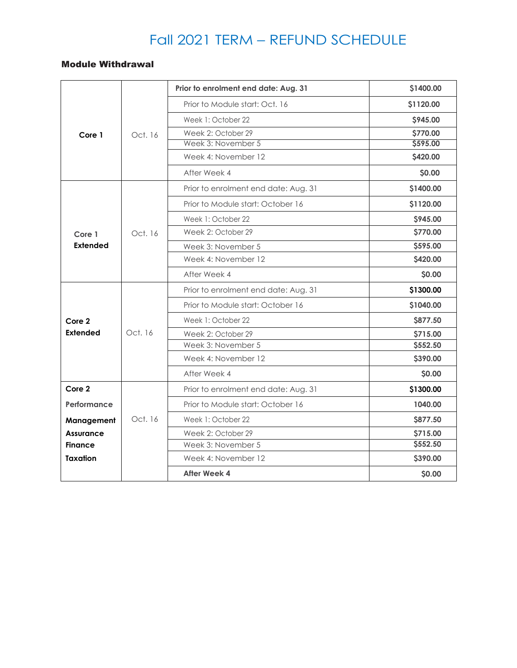## Fall 2021 TERM – REFUND SCHEDULE

### Module Withdrawal

|                  |         | Prior to enrolment end date: Aug. 31 | \$1400.00       |
|------------------|---------|--------------------------------------|-----------------|
|                  |         | Prior to Module start: Oct. 16       | \$1120.00       |
|                  |         | Week 1: October 22                   | \$945.00        |
| Core 1           | Oct. 16 | Week 2: October 29                   | \$770.00        |
|                  |         | Week 3: November 5                   | \$595.00        |
|                  |         | Week 4: November 12                  | \$420.00        |
|                  |         | After Week 4                         | \$0.00          |
|                  |         | Prior to enrolment end date: Aug. 31 | \$1400.00       |
|                  |         | Prior to Module start: October 16    | \$1120.00       |
|                  |         | Week 1: October 22                   | <b>\$945.00</b> |
| Core 1           | Oct. 16 | Week 2: October 29                   | \$770.00        |
| <b>Extended</b>  |         | Week 3: November 5                   | \$595.00        |
|                  |         | Week 4: November 12                  | \$420.00        |
|                  |         | After Week 4                         | \$0.00          |
|                  |         | Prior to enrolment end date: Aug. 31 | \$1300.00       |
|                  |         | Prior to Module start: October 16    | \$1040.00       |
| Core 2           |         | Week 1: October 22                   | \$877.50        |
| <b>Extended</b>  | Oct. 16 | Week 2: October 29                   | <b>\$715.00</b> |
|                  |         | Week 3: November 5                   | \$552.50        |
|                  |         | Week 4: November 12                  | \$390.00        |
|                  |         | After Week 4                         | \$0.00          |
| Core 2           |         | Prior to enrolment end date: Aug. 31 | \$1300.00       |
| Performance      |         | Prior to Module start: October 16    | 1040.00         |
| Management       | Oct. 16 | Week 1: October 22                   | \$877.50        |
| <b>Assurance</b> |         | Week 2: October 29                   | \$715.00        |
| <b>Finance</b>   |         | Week 3: November 5                   | \$552.50        |
| <b>Taxation</b>  |         | Week 4: November 12                  | \$390.00        |
|                  |         | <b>After Week 4</b>                  | \$0.00          |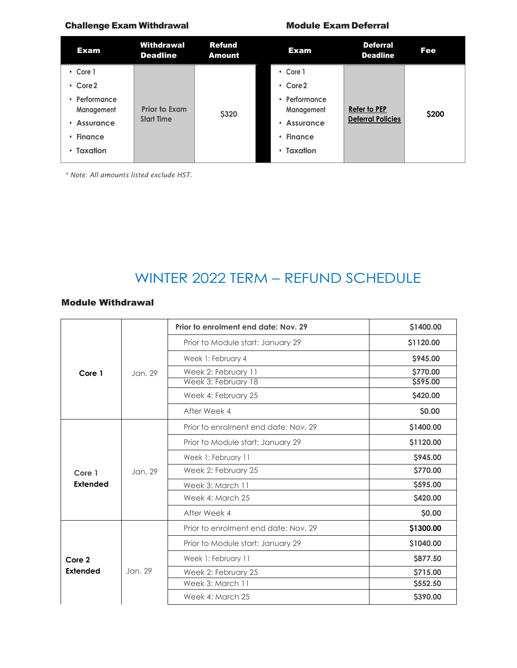### Challenge Exam Withdrawal Module Exam Deferral

| <b>Exam</b>                 | Withdrawal<br><b>Deadline</b> | <b>Refund</b><br><b>Amount</b> | <b>Exam</b>                 | <b>Deferral</b><br><b>Deadline</b> | Fee   |
|-----------------------------|-------------------------------|--------------------------------|-----------------------------|------------------------------------|-------|
| $\cdot$ Core 1              |                               |                                | $\cdot$ Core 1              |                                    |       |
| $\cdot$ Core 2              |                               |                                | $\cdot$ Core2               |                                    |       |
| • Performance<br>Management | <b>Prior to Exam</b>          | \$320                          | • Performance<br>Management | Refer to PEP                       | \$200 |
| Assurance<br>$\bullet$      | <b>Start Time</b>             |                                | • Assurance                 | <b>Deferral Policies</b>           |       |
| $\cdot$ Finance             |                               |                                | $\cdot$ Finance             |                                    |       |
| $\cdot$ Taxation            |                               |                                | $\cdot$ Taxation            |                                    |       |
|                             |                               |                                |                             |                                    |       |

*\* Note: All amounts listed exclude HST.*

## WINTER 2022 TERM – REFUND SCHEDULE

### Module Withdrawal

|                 |         | Prior to enrolment end date: Nov. 29 | \$1400.00      |
|-----------------|---------|--------------------------------------|----------------|
| Core 1          |         | Prior to Module start: January 29    | \$1120.00      |
|                 |         | Week 1: February 4                   | \$945.00       |
|                 | Jan. 29 | Week 2: February 11                  | \$770.00       |
|                 |         | Week 3: February 18                  | \$595.00       |
|                 |         | Week 4: February 25                  | \$420.00       |
|                 |         | After Week 4                         | \$0.00         |
|                 |         | Prior to enrolment end date: Nov. 29 | \$1400.00      |
|                 | Jan. 29 | Prior to Module start: January 29    | \$1120.00      |
|                 |         | Week 1: February 11                  | <b>S945.00</b> |
| Core 1          |         | Week 2: February 25                  | \$770.00       |
| Extended        |         | Week 3: March 11                     | \$595.00       |
|                 |         | Week 4: March 25                     | \$420.00       |
|                 |         | After Week 4                         | \$0.00         |
|                 |         | Prior to enrolment end date: Nov. 29 | \$1300.00      |
|                 |         | Prior to Module start: January 29    | \$1040.00      |
| Core 2          |         | Week 1: February 11                  | \$877.50       |
| <b>Extended</b> | Jan. 29 | Week 2: February 25                  | \$715.00       |
|                 |         | Week 3: March 11                     | \$552.50       |
|                 |         | Week 4: March 25                     | \$390.00       |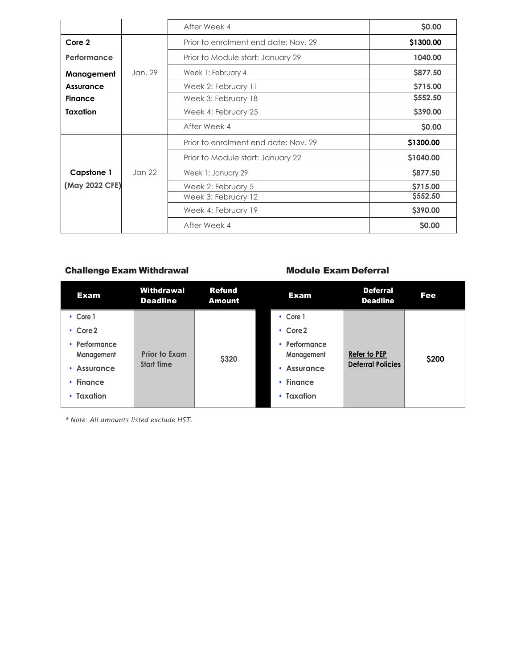|                   |         | After Week 4                         | \$0.00    |
|-------------------|---------|--------------------------------------|-----------|
| Core 2            |         | Prior to enrolment end date: Nov. 29 | \$1300.00 |
| Performance       |         | Prior to Module start: January 29    | 1040.00   |
| Management        | Jan. 29 | Week 1: February 4                   | \$877.50  |
| Assurance         |         | Week 2: February 11                  | \$715.00  |
| <b>Finance</b>    |         | Week 3: February 18                  | \$552.50  |
| <b>Taxation</b>   |         | Week 4: February 25                  | \$390.00  |
|                   |         | After Week 4                         | \$0.00    |
|                   |         | Prior to enrolment end date: Nov. 29 | \$1300.00 |
|                   |         | Prior to Module start: January 22    | \$1040.00 |
| <b>Capstone 1</b> | Jan 22  | Week 1: January 29                   | \$877.50  |
| (May 2022 CFE)    |         | Week 2: February 5                   | \$715.00  |
|                   |         | Week 3: February 12                  | \$552.50  |
|                   |         | Week 4: February 19                  | \$390.00  |
|                   |         | After Week 4                         | \$0.00    |

### Challenge Exam Withdrawal **Module Exam Deferral** Module Exam Deferral

| <b>Exam</b>                                                                       | Withdrawal<br><b>Deadline</b>             | <b>Refund</b><br><b>Amount</b> | <b>Exam</b>                                                                    | <b>Deferral</b><br><b>Deadline</b>              | Fee   |
|-----------------------------------------------------------------------------------|-------------------------------------------|--------------------------------|--------------------------------------------------------------------------------|-------------------------------------------------|-------|
| $\cdot$ Core 1<br>$\cdot$ Core 2                                                  |                                           |                                | $\cdot$ Core 1<br>$\cdot$ Core2                                                |                                                 |       |
| • Performance<br>Management<br>• Assurance<br>$\cdot$ Finance<br>$\cdot$ Taxation | <b>Prior to Exam</b><br><b>Start Time</b> | \$320                          | • Performance<br>Management<br>Assurance<br>٠<br>• Finance<br>$\cdot$ Taxation | <b>Refer to PEP</b><br><b>Deferral Policies</b> | \$200 |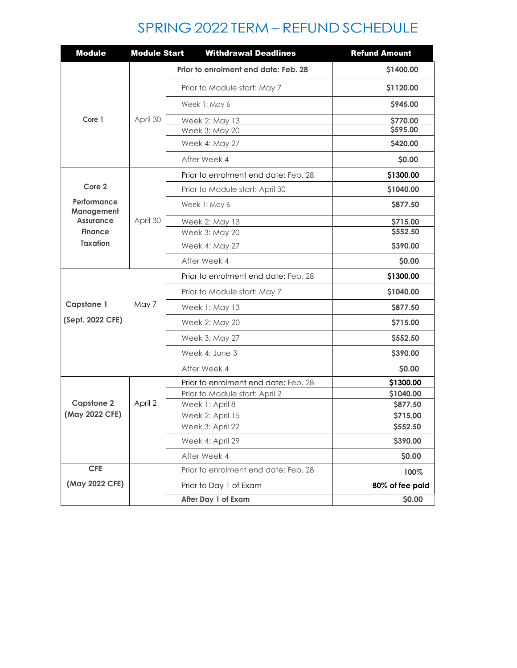## SPRING 2022 TERM – REFUND SCHEDULE

| <b>Module</b>             | <b>Module Start</b> | <b>Withdrawal Deadlines</b>          | <b>Refund Amount</b> |
|---------------------------|---------------------|--------------------------------------|----------------------|
|                           |                     | Prior to enrolment end date: Feb. 28 | \$1400.00            |
|                           |                     | Prior to Module start: May 7         | \$1120.00            |
|                           |                     | Week 1: May 6                        | \$945.00             |
| Core 1                    | April 30            | Week 2: May 13                       | \$770.00             |
|                           |                     | Week 3: May 20                       | \$595.00             |
|                           |                     | Week 4: May 27                       | \$420.00             |
|                           |                     | After Week 4                         | \$0.00               |
|                           |                     | Prior to enrolment end date: Feb. 28 | \$1300.00            |
| Core 2                    |                     | Prior to Module start: April 30      | \$1040.00            |
| Performance<br>Management |                     | Week 1: May 6                        | \$877.50             |
| <b>Assurance</b>          | April 30            | Week 2: May 13                       | \$715.00             |
| <b>Finance</b>            |                     | Week 3: May 20                       | \$552.50             |
| <b>Taxation</b>           |                     | Week 4: May 27                       | \$390.00             |
|                           |                     | After Week 4                         | \$0.00               |
|                           |                     | Prior to enrolment end date: Feb. 28 | \$1300.00            |
|                           |                     | Prior to Module start: May 7         | \$1040.00            |
| <b>Capstone 1</b>         | May 7               | Week 1: May 13                       | \$877.50             |
| (Sept. 2022 CFE)          |                     | Week 2: May 20                       | \$715.00             |
|                           |                     | Week 3: May 27                       | \$552.50             |
|                           |                     | Week 4: June 3                       | \$390.00             |
|                           |                     | After Week 4                         | \$0.00               |
|                           |                     | Prior to enrolment end date: Feb. 28 | \$1300.00            |
|                           |                     | Prior to Module start: April 2       | \$1040.00            |
| <b>Capstone 2</b>         | April 2             | Week 1: April 8                      | \$877.50             |
| (May 2022 CFE)            |                     | Week 2: April 15                     | \$715.00             |
|                           |                     | Week 3: April 22                     | \$552.50             |
|                           |                     | Week 4: April 29                     | \$390.00             |
|                           |                     | After Week 4                         | \$0.00               |
| CFE                       |                     | Prior to enrolment end date: Feb. 28 | 100%                 |
| (May 2022 CFE)            |                     | Prior to Day 1 of Exam               | 80% of fee paid      |
|                           |                     | After Day 1 of Exam                  | \$0.00               |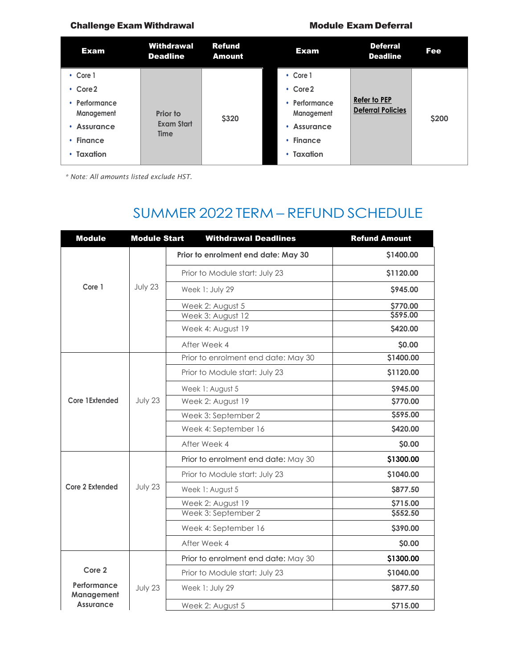### Challenge Exam Withdrawal **Module Exam Deferral** Module Exam Deferral

| <b>Exam</b>                 | <b>Withdrawal</b><br><b>Deadline</b>                | <b>Refund</b><br><b>Amount</b> | Exam                      | <b>Deferral</b><br><b>Deadline</b>              | <b>Fee</b> |
|-----------------------------|-----------------------------------------------------|--------------------------------|---------------------------|-------------------------------------------------|------------|
| $\cdot$ Core 1              |                                                     |                                | • Core 1                  |                                                 |            |
| $\cdot$ Core 2              |                                                     |                                | $\cdot$ Core2             |                                                 |            |
| • Performance<br>Management | <b>Prior to</b><br><b>Exam Start</b><br><b>Time</b> | \$320                          | Performance<br>Management | <b>Refer to PEP</b><br><b>Deferral Policies</b> | \$200      |
| <b>Assurance</b>            |                                                     |                                | <b>Assurance</b>          |                                                 |            |
| $\cdot$ Finance             |                                                     |                                | $\cdot$ Finance           |                                                 |            |
| • Taxation                  |                                                     |                                | $\cdot$ Taxation          |                                                 |            |

*\* Note: All amounts listed exclude HST.*

## SUMMER 2022 TERM – REFUND SCHEDULE

| <b>Module</b>             | <b>Module Start</b> | <b>Withdrawal Deadlines</b>         | <b>Refund Amount</b> |
|---------------------------|---------------------|-------------------------------------|----------------------|
|                           |                     | Prior to enrolment end date: May 30 | \$1400.00            |
|                           |                     | Prior to Module start: July 23      | \$1120.00            |
| Core 1                    | July 23             | Week 1: July 29                     | \$945.00             |
|                           |                     | Week 2: August 5                    | \$770.00             |
|                           |                     | Week 3: August 12                   | \$595.00             |
|                           |                     | Week 4: August 19                   | \$420.00             |
|                           |                     | After Week 4                        | \$0.00               |
|                           |                     | Prior to enrolment end date: May 30 | \$1400.00            |
|                           |                     | Prior to Module start: July 23      | \$1120.00            |
|                           |                     | Week 1: August 5                    | \$945.00             |
| Core 1Extended            | July 23             | Week 2: August 19                   | \$770.00             |
|                           |                     | Week 3: September 2                 | \$595.00             |
|                           |                     | Week 4: September 16                | \$420.00             |
|                           |                     | After Week 4                        | \$0.00               |
|                           |                     | Prior to enrolment end date: May 30 | \$1300.00            |
|                           |                     | Prior to Module start: July 23      | \$1040.00            |
| Core 2 Extended           | July 23             | Week 1: August 5                    | \$877.50             |
|                           |                     | Week 2: August 19                   | \$715.00             |
|                           |                     | Week 3: September 2                 | \$552.50             |
|                           |                     | Week 4: September 16                | \$390.00             |
|                           |                     | After Week 4                        | \$0.00               |
|                           |                     | Prior to enrolment end date: May 30 | \$1300.00            |
| Core 2                    |                     | Prior to Module start: July 23      | \$1040.00            |
| Performance<br>Management | July 23             | Week 1: July 29                     | \$877.50             |
| <b>Assurance</b>          |                     | Week 2: August 5                    | \$715.00             |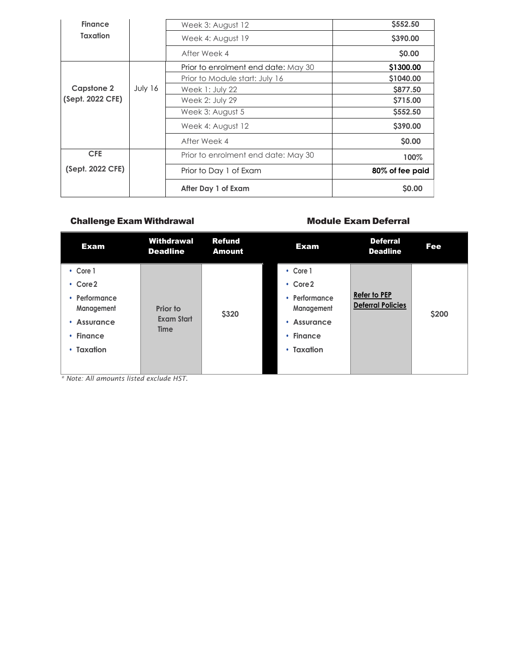| <b>Finance</b>    |         | Week 3: August 12                   | \$552.50        |
|-------------------|---------|-------------------------------------|-----------------|
| Taxation          |         | Week 4: August 19                   | \$390.00        |
|                   |         | After Week 4                        | \$0.00          |
|                   |         | Prior to enrolment end date: May 30 | \$1300.00       |
|                   |         | Prior to Module start: July 16      | \$1040.00       |
| <b>Capstone 2</b> | July 16 | Week 1: July 22                     | <b>\$877.50</b> |
| (Sept. 2022 CFE)  |         | Week 2: July 29                     | \$715.00        |
|                   |         | Week 3: August 5                    | \$552.50        |
|                   |         | Week 4: August 12                   | S390.00         |
|                   |         | After Week 4                        | \$0.00          |
| <b>CFE</b>        |         | Prior to enrolment end date: May 30 | 100%            |
| (Sept. 2022 CFE)  |         | Prior to Day 1 of Exam              | 80% of fee paid |
|                   |         | After Day 1 of Exam                 | \$0.00          |

### Challenge Exam Withdrawal **Music Exam Deferral** Module Exam Deferral

| <b>Exam</b>                 | Withdrawal<br><b>Deadline</b> | <b>Refund</b><br><b>Amount</b> | <b>Exam</b>                    | <b>Deferral</b><br><b>Deadline</b>              | Fee   |
|-----------------------------|-------------------------------|--------------------------------|--------------------------------|-------------------------------------------------|-------|
| • Core 1                    |                               |                                | $\cdot$ Core 1                 |                                                 |       |
| $\cdot$ Core 2              |                               |                                | $\cdot$ Core2                  |                                                 |       |
| • Performance<br>Management | Prior to                      | \$320                          | Performance<br>٠<br>Management | <b>Refer to PEP</b><br><b>Deferral Policies</b> | \$200 |
| • Assurance                 | <b>Exam Start</b>             |                                | <b>Assurance</b><br>٠          |                                                 |       |
| $\cdot$ Finance             | <b>Time</b>                   |                                | <b>Finance</b><br>٠            |                                                 |       |
| • Taxation                  |                               |                                | Taxation<br>$\bullet$          |                                                 |       |
|                             |                               |                                |                                |                                                 |       |